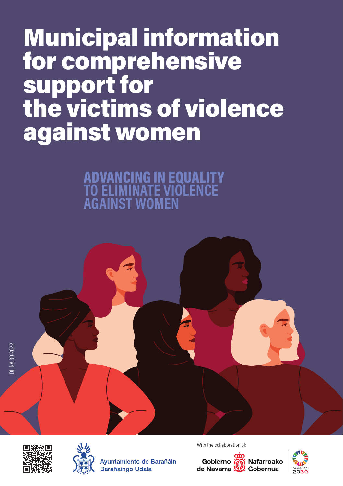# Municipal information for comprehensive support for the victims of violence against women

ADVANCING IN EQUALITY TO ELIMINATE VIOLENCE AGAINST WOMEN





Avuntamiento de Barañáin Barañaingo Udala

With the collaboration of:



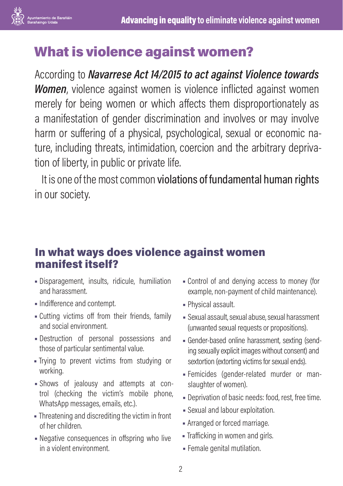

# What is violence against women?

According to Navarrese Act 14/2015 to act against Violence towards Women, violence against women is violence inflicted against women merely for being women or which affects them disproportionately as a manifestation of gender discrimination and involves or may involve harm or suffering of a physical, psychological, sexual or economic nature, including threats, intimidation, coercion and the arbitrary deprivation of liberty, in public or private life.

It is one of the most common violations of fundamental human rights in our society.

## In what ways does violence against women manifest itself?

- Disparagement, insults, ridicule, humiliation and harassment.
- Indifference and contempt.
- Cutting victims off from their friends, family and social environment.
- Destruction of personal possessions and those of particular sentimental value.
- Trying to prevent victims from studying or working.
- Shows of jealousy and attempts at control (checking the victim's mobile phone, WhatsApp messages, emails, etc.).
- Threatening and discrediting the victim in front of her children.
- Negative consequences in offspring who live in a violent environment.
- Control of and denying access to money (for example, non-payment of child maintenance).
- Physical assault.
- Sexual assault, sexual abuse, sexual harassment (unwanted sexual requests or propositions).
- Gender-based online harassment, sexting (sending sexually explicit images without consent) and sextortion (extorting victims for sexual ends).
- Femicides (gender-related murder or manslaughter of women).
- Deprivation of basic needs: food, rest, free time.
- Sexual and labour exploitation.
- Arranged or forced marriage.
- Trafficking in women and girls.
- Female genital mutilation.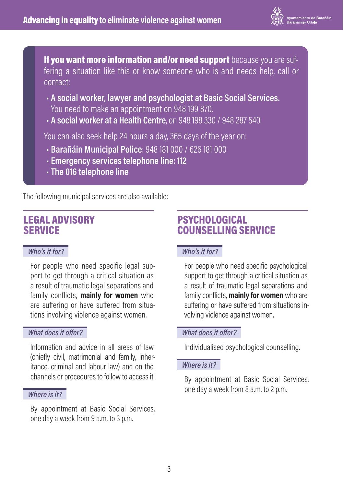

If you want more information and/or need support because you are suffering a situation like this or know someone who is and needs help, call or contact:

- A social worker, lawyer and psychologist at Basic Social Services. You need to make an appointment on 948 199 870.
- A social worker at a Health Centre, on 948 198 330 / 948 287 540.

You can also seek help 24 hours a day, 365 days of the year on:

- • Barañáin Municipal Police: 948 181 000 / 626 181 000
- Emergency services telephone line: 112
- • The 016 telephone line

The following municipal services are also available:

### LEGAL ADVISORY **SERVICE**

#### Who's it for?

For people who need specific legal support to get through a critical situation as a result of traumatic legal separations and family conflicts, mainly for women who are suffering or have suffered from situations involving violence against women.

#### What does it offer?

Information and advice in all areas of law (chiefly civil, matrimonial and family, inheritance, criminal and labour law) and on the channels or procedures to follow to access it.

#### Where is it?

By appointment at Basic Social Services, one day a week from 9 a.m. to 3 p.m.

## PSYCHOLOGICAL COUNSELLING SERVICE

#### Who's it for?

For people who need specific psychological support to get through a critical situation as a result of traumatic legal separations and family conflicts, mainly for women who are suffering or have suffered from situations involving violence against women.

#### What does it offer?

Individualised psychological counselling.

#### Where is it?

By appointment at Basic Social Services, one day a week from 8 a.m. to 2 p.m.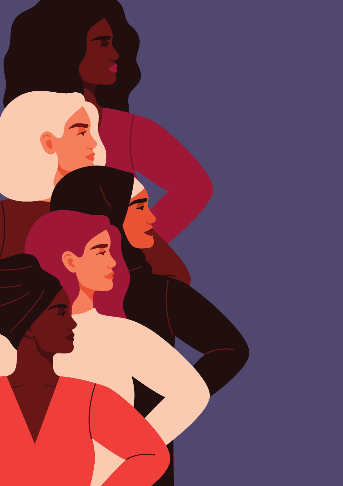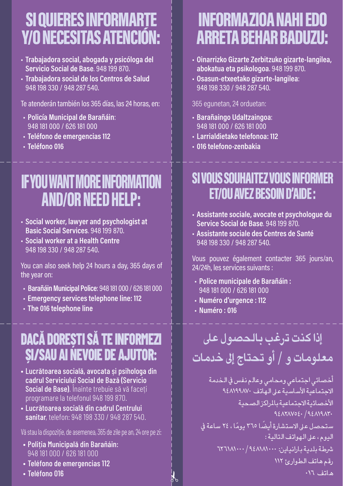# **SI QUIERES INFORMARTE** <u>Y/O NECESITAS ATENCIÓN:</u>

- • Trabajadora social, abogada y psicóloga del Servicio Social de Base. 948 199 870.
- • Trabajadora social de los Centros de Salud 948 198 330 / 948 287 540.

Te atenderán también los 365 días, las 24 horas, en:

- Policía Municipal de Barañáin: 948 181 000 / 626 181 000
- • Teléfono de emergencias 112
- • Teléfono 016

# **IF YOU WANT MORE INFORMATION AND/OR NEED HELP:**

- Social worker, lawyer and psychologist at Basic Social Services. 948 199 870.
- • Social worker at a Health Centre 948 198 330 / 948 287 540.

You can also seek help 24 hours a day, 365 days of the year on:

- Barañáin Municipal Police: 948 181 000 / 626 181 000
- • Emergency services telephone line: 112
- The 016 telephone line

# **DACĂ DOREȘTI SĂ TE INFORMEZI ȘI/SAU AI NEVOIE DE AJUTOR:**

- Lucrătoarea socială, avocata și psihologa din cadrul Serviciului Social de Bază (Servicio Social de Base). Înainte trebuie să vă faceți programare la telefonul 948 199 870.
- Lucrătoarea socială din cadrul Centrului sanitar, telefon: 948 198 330 / 948 287 540.

Vă stau la dispoziție, de asemenea, 365 de zile pe an, 24 ore pe zi:

- Poliția Municipală din Barañáin: 948 181 000 / 626 181 000
- Teléfono de emergencias 112
- Teléfono 016 ✃

# **INFORMAZIOA NAHI EDO ARRETA BEHAR BADUZU:**

- • Oinarrizko Gizarte Zerbitzuko gizarte-langilea, abokatua eta psikologoa. 948 199 870.
- Osasun-etxeetako gizarte-langilea: 948 198 330 / 948 287 540.

365 egunetan, 24 orduetan:

- Barañaingo Udaltzaingoa: 948 181 000 / 626 181 000
- • Larrialdietako telefonoa: 112
- • 016 telefono-zenbakia

# SI VOUS SOUHAITEZ VOUS INFORMER **ET/OU AVEZ BESOIN D'AIDE :**

- Assistante sociale, avocate et psychologue du Service Social de Base. 948 199 870.
- Assistante sociale des Centres de Santé 948 198 330 / 948 287 540.

Vous pouvez également contacter 365 jours/an, 24/24h, les services suivants :

- • Police municipale de Barañáin : 948 181 000 / 626 181 000
- • Numéro d'urgence : 112
- • Numéro : 016

# **إذا كنت ترغب بالحصول على معلومات و / أو تحتاج إلى خدمات**

أخصائي اجتماعي ومحامي وعالم نفس في الخدمة االجتماعية الأساسية عىل الهاتف ٩٤٨١٩٩٨٧٠ الأخصائية االجتماعية باملراكز الصحية ٩٤٨٢٨٧٥٤٠/٩٤٨١٩٨٣٠ ً ستحصل عىل االستشارة أيضا ٣٦٥ ً يوما ، ٢٤ ساعة في اليوم ، عىل الهواتف التالية :شرطة بلدية بارانياين: ٦٢٦١٨١٠٠٠/٩٤٨١٨١٠٠٠ رقم هاتف الطوارئ ١١٢

هاتف ٠١٦